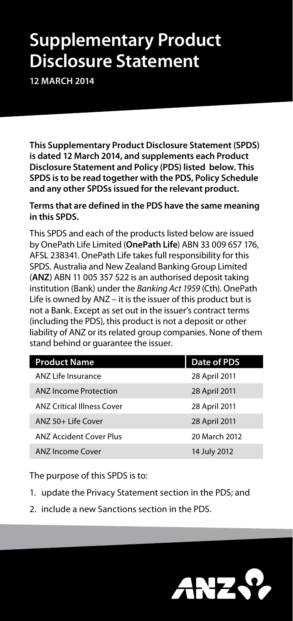# **Supplementary Product Disclosure Statement**

**12 March 2014**

**This Supplementary Product Disclosure Statement (SPDS) is dated 12 March 2014, and supplements each Product Disclosure Statement and Policy (PDS) listed below. This SPDS is to be read together with the PDS, Policy Schedule and any other SPDSs issued for the relevant product.** 

**Terms that are defined in the PDS have the same meaning in this SPDS.**

This SPDS and each of the products listed below are issued by OnePath Life Limited (**OnePath Life**) ABN 33 009 657 176, AFSL 238341. OnePath Life takes full responsibility for this SPDS. Australia and New Zealand Banking Group Limited (**ANZ**) ABN 11 005 357 522 is an authorised deposit taking institution (Bank) under the *Banking Act 1959* (Cth). OnePath Life is owned by ANZ – it is the issuer of this product but is not a Bank. Except as set out in the issuer's contract terms (including the PDS), this product is not a deposit or other liability of ANZ or its related group companies. None of them stand behind or guarantee the issuer.

| <b>Product Name</b>               | Date of PDS   |
|-----------------------------------|---------------|
| ANZ Life Insurance                | 28 April 2011 |
| <b>ANZ Income Protection</b>      | 28 April 2011 |
| <b>ANZ Critical Illness Cover</b> | 28 April 2011 |
| ANZ 50+ Life Cover                | 28 April 2011 |
| <b>ANZ Accident Cover Plus</b>    | 20 March 2012 |
| <b>ANZ Income Cover</b>           | 14 July 2012  |

The purpose of this SPDS is to:

- 1. update the Privacy Statement section in the PDS; and
- 2. include a new Sanctions section in the PDS.

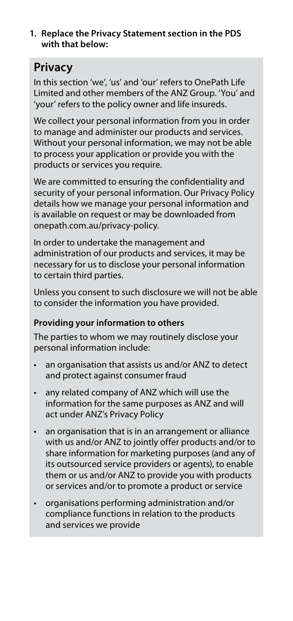#### **1. Replace the Privacy Statement section in the PDS with that below:**

## **Privacy**

In this section 'we', 'us' and 'our' refers to OnePath Life Limited and other members of the ANZ Group. 'You' and 'your' refers to the policy owner and life insureds.

We collect your personal information from you in order to manage and administer our products and services. Without your personal information, we may not be able to process your application or provide you with the products or services you require.

We are committed to ensuring the confidentiality and security of your personal information. Our Privacy Policy details how we manage your personal information and is available on request or may be downloaded from onepath.com.au/privacy-policy.

In order to undertake the management and administration of our products and services, it may be necessary for us to disclose your personal information to certain third parties.

Unless you consent to such disclosure we will not be able to consider the information you have provided.

#### **Providing your information to others**

The parties to whom we may routinely disclose your personal information include:

- an organisation that assists us and/or ANZ to detect and protect against consumer fraud
- any related company of ANZ which will use the information for the same purposes as ANZ and will act under ANZ's Privacy Policy
- an organisation that is in an arrangement or alliance with us and/or ANZ to jointly offer products and/or to share information for marketing purposes (and any of its outsourced service providers or agents), to enable them or us and/or ANZ to provide you with products or services and/or to promote a product or service
- organisations performing administration and/or compliance functions in relation to the products and services we provide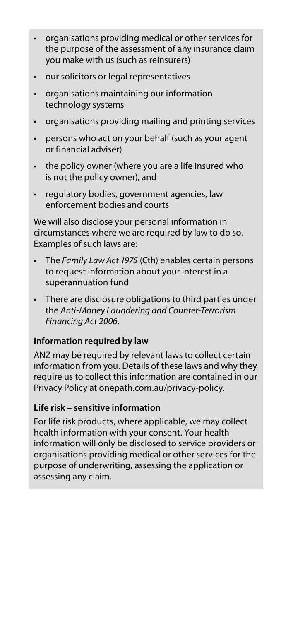- organisations providing medical or other services for the purpose of the assessment of any insurance claim you make with us (such as reinsurers)
- our solicitors or legal representatives
- organisations maintaining our information technology systems
- organisations providing mailing and printing services
- persons who act on your behalf (such as your agent or financial adviser)
- the policy owner (where you are a life insured who is not the policy owner), and
- regulatory bodies, government agencies, law enforcement bodies and courts

We will also disclose your personal information in circumstances where we are required by law to do so. Examples of such laws are:

- The *Family Law Act 1975* (Cth) enables certain persons to request information about your interest in a superannuation fund
- There are disclosure obligations to third parties under the *Anti-Money Laundering and Counter-Terrorism Financing Act 2006*.

#### **Information required by law**

ANZ may be required by relevant laws to collect certain information from you. Details of these laws and why they require us to collect this information are contained in our Privacy Policy at onepath.com.au/privacy-policy.

#### **Life risk – sensitive information**

For life risk products, where applicable, we may collect health information with your consent. Your health information will only be disclosed to service providers or organisations providing medical or other services for the purpose of underwriting, assessing the application or assessing any claim.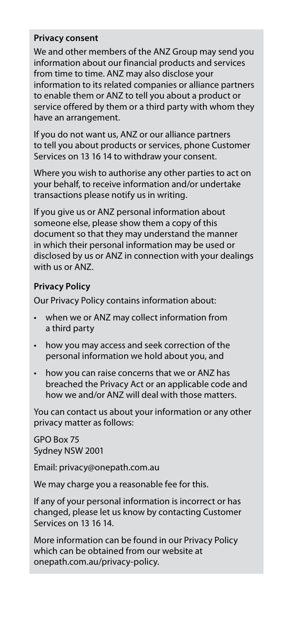#### **Privacy consent**

We and other members of the ANZ Group may send you information about our financial products and services from time to time. ANZ may also disclose your information to its related companies or alliance partners to enable them or ANZ to tell you about a product or service offered by them or a third party with whom they have an arrangement.

If you do not want us, ANZ or our alliance partners to tell you about products or services, phone Customer Services on 13 16 14 to withdraw your consent.

Where you wish to authorise any other parties to act on your behalf, to receive information and/or undertake transactions please notify us in writing.

If you give us or ANZ personal information about someone else, please show them a copy of this document so that they may understand the manner in which their personal information may be used or disclosed by us or ANZ in connection with your dealings with us or ANZ.

#### **Privacy Policy**

Our Privacy Policy contains information about:

- when we or ANZ may collect information from a third party
- how you may access and seek correction of the personal information we hold about you, and
- how you can raise concerns that we or ANZ has breached the Privacy Act or an applicable code and how we and/or ANZ will deal with those matters.

You can contact us about your information or any other privacy matter as follows:

GPO Box 75 Sydney NSW 2001

Email: privacy@onepath.com.au

We may charge you a reasonable fee for this.

If any of your personal information is incorrect or has changed, please let us know by contacting Customer Services on 13 16 14.

More information can be found in our Privacy Policy which can be obtained from our website at onepath.com.au/privacy-policy.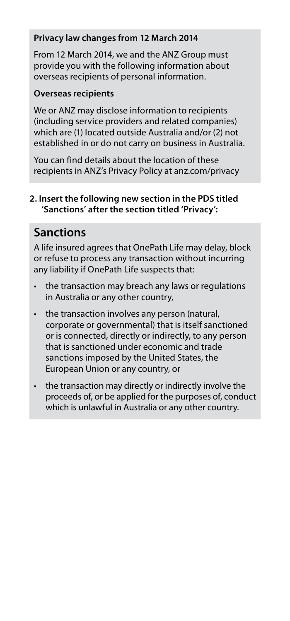#### **Privacy law changes from 12 March 2014**

From 12 March 2014, we and the ANZ Group must provide you with the following information about overseas recipients of personal information.

#### **Overseas recipients**

We or ANZ may disclose information to recipients (including service providers and related companies) which are (1) located outside Australia and/or (2) not established in or do not carry on business in Australia.

You can find details about the location of these recipients in ANZ's Privacy Policy at anz.com/privacy

#### **2. Insert the following new section in the PDS titled 'Sanctions' after the section titled 'Privacy':**

## **Sanctions**

A life insured agrees that OnePath Life may delay, block or refuse to process any transaction without incurring any liability if OnePath Life suspects that:

- the transaction may breach any laws or regulations in Australia or any other country,
- the transaction involves any person (natural, corporate or governmental) that is itself sanctioned or is connected, directly or indirectly, to any person that is sanctioned under economic and trade sanctions imposed by the United States, the European Union or any country, or
- the transaction may directly or indirectly involve the proceeds of, or be applied for the purposes of, conduct which is unlawful in Australia or any other country.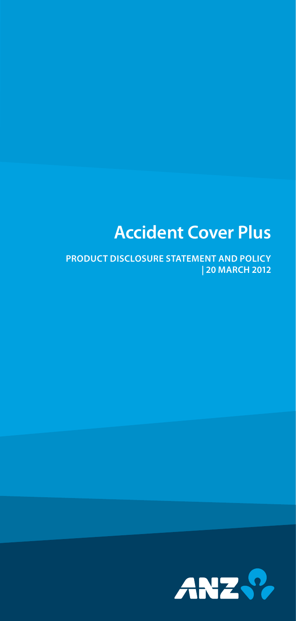# **Accident Cover Plus**

**Product Disclosure Statement and Policy | 20 March 2012**

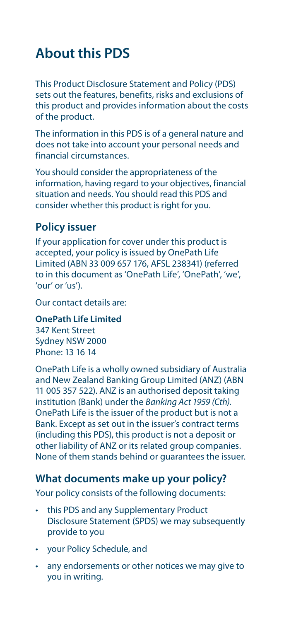# **About this PDS**

This Product Disclosure Statement and Policy (PDS) sets out the features, benefits, risks and exclusions of this product and provides information about the costs of the product.

The information in this PDS is of a general nature and does not take into account your personal needs and financial circumstances.

You should consider the appropriateness of the information, having regard to your objectives, financial situation and needs. You should read this PDS and consider whether this product is right for you.

## **Policy issuer**

If your application for cover under this product is accepted, your policy is issued by OnePath Life Limited (ABN 33 009 657 176, AFSL 238341) (referred to in this document as 'OnePath Life', 'OnePath', 'we', 'our' or 'us').

Our contact details are:

#### **OnePath Life Limited**

347 Kent Street Sydney NSW 2000 Phone: 13 16 14

OnePath Life is a wholly owned subsidiary of Australia and New Zealand Banking Group Limited (ANZ) (ABN 11 005 357 522). ANZ is an authorised deposit taking institution (Bank) under the *Banking Act 1959 (Cth)*. OnePath Life is the issuer of the product but is not a Bank. Except as set out in the issuer's contract terms (including this PDS), this product is not a deposit or other liability of ANZ or its related group companies. None of them stands behind or guarantees the issuer.

#### **What documents make up your policy?**

Your policy consists of the following documents:

- • this PDS and any Supplementary Product Disclosure Statement (SPDS) we may subsequently provide to you
- • your Policy Schedule, and
- • any endorsements or other notices we may give to you in writing.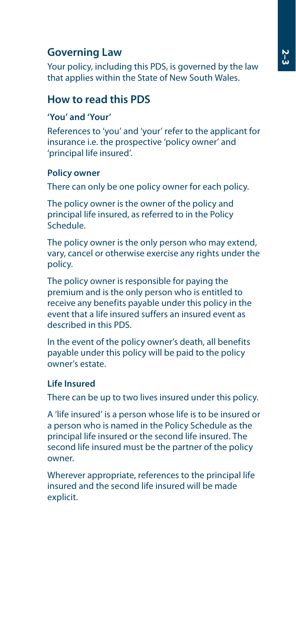#### **Governing Law**

Your policy, including this PDS, is governed by the law that applies within the State of New South Wales.

#### **How to read this PDS**

#### **'You' and 'Your'**

References to 'you' and 'your' refer to the applicant for insurance i.e. the prospective 'policy owner' and 'principal life insured'.

#### **Policy owner**

There can only be one policy owner for each policy.

The policy owner is the owner of the policy and principal life insured, as referred to in the Policy Schedule.

The policy owner is the only person who may extend, vary, cancel or otherwise exercise any rights under the policy.

The policy owner is responsible for paying the premium and is the only person who is entitled to receive any benefits payable under this policy in the event that a life insured suffers an insured event as described in this PDS.

In the event of the policy owner's death, all benefits payable under this policy will be paid to the policy owner's estate.

#### **Life Insured**

There can be up to two lives insured under this policy.

A 'life insured' is a person whose life is to be insured or a person who is named in the Policy Schedule as the principal life insured or the second life insured. The second life insured must be the partner of the policy owner.

Wherever appropriate, references to the principal life insured and the second life insured will be made explicit.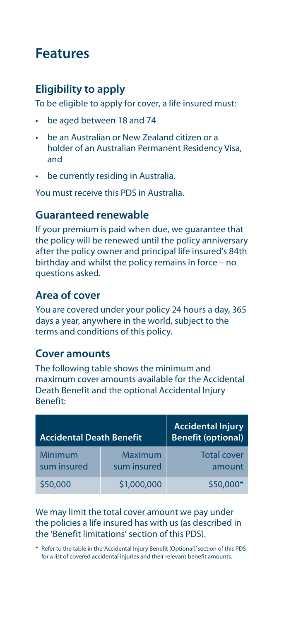## **Features**

## **Eligibility to apply**

To be eligible to apply for cover, a life insured must:

- • be aged between 18 and 74
- be an Australian or New Zealand citizen or a holder of an Australian Permanent Residency Visa, and
- be currently residing in Australia.

You must receive this PDS in Australia.

#### **Guaranteed renewable**

If your premium is paid when due, we guarantee that the policy will be renewed until the policy anniversary after the policy owner and principal life insured's 84th birthday and whilst the policy remains in force – no questions asked.

#### **Area of cover**

You are covered under your policy 24 hours a day, 365 days a year, anywhere in the world, subject to the terms and conditions of this policy.

#### **Cover amounts**

The following table shows the minimum and maximum cover amounts available for the Accidental Death Benefit and the optional Accidental Injury Benefit:

| <b>Accidental Death Benefit</b> | <b>Accidental Injury</b><br><b>Benefit (optional)</b> |                              |
|---------------------------------|-------------------------------------------------------|------------------------------|
| Minimum<br>sum insured          | Maximum<br>sum insured                                | <b>Total cover</b><br>amount |
| \$50,000                        | \$1,000,000                                           | \$50,000*                    |

We may limit the total cover amount we pay under the policies a life insured has with us (as described in the 'Benefit limitations' section of this PDS).

\* Refer to the table in the 'Accidental Injury Benefit (Optional)' section of this PDS for a list of covered accidental injuries and their relevant benefit amounts.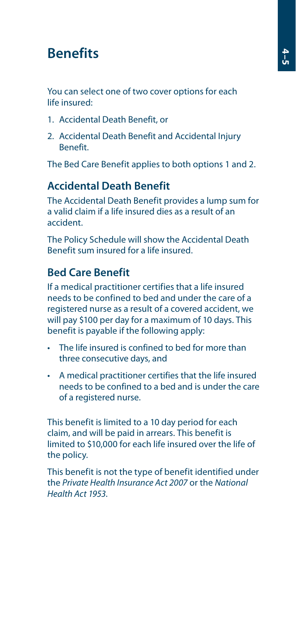# **Benefits**

You can select one of two cover options for each life insured:

- 1. Accidental Death Benefit, or
- 2. Accidental Death Benefit and Accidental Injury Benefit.

The Bed Care Benefit applies to both options 1 and 2.

#### **Accidental Death Benefit**

The Accidental Death Benefit provides a lump sum for a valid claim if a life insured dies as a result of an accident.

The Policy Schedule will show the Accidental Death Benefit sum insured for a life insured.

#### **Bed Care Benefit**

If a medical practitioner certifies that a life insured needs to be confined to bed and under the care of a registered nurse as a result of a covered accident, we will pay \$100 per day for a maximum of 10 days. This benefit is payable if the following apply:

- The life insured is confined to bed for more than three consecutive days, and
- • A medical practitioner certifies that the life insured needs to be confined to a bed and is under the care of a registered nurse.

This benefit is limited to a 10 day period for each claim, and will be paid in arrears. This benefit is limited to \$10,000 for each life insured over the life of the policy.

This benefit is not the type of benefit identified under the *Private Health Insurance Act 2007* or the *National Health Act 1953*.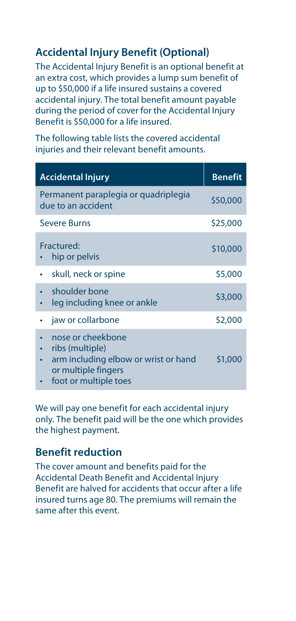## **Accidental Injury Benefit (Optional)**

The Accidental Injury Benefit is an optional benefit at an extra cost, which provides a lump sum benefit of up to \$50,000 if a life insured sustains a covered accidental injury. The total benefit amount payable during the period of cover for the Accidental Injury Benefit is \$50,000 for a life insured.

The following table lists the covered accidental injuries and their relevant benefit amounts.

| <b>Accidental Injury</b>                                                                                                     | <b>Benefit</b> |
|------------------------------------------------------------------------------------------------------------------------------|----------------|
| Permanent paraplegia or quadriplegia<br>due to an accident                                                                   | \$50,000       |
| <b>Severe Burns</b>                                                                                                          | \$25,000       |
| Fractured:<br>hip or pelvis                                                                                                  | \$10,000       |
| skull, neck or spine                                                                                                         | \$5,000        |
| shoulder bone<br>leg including knee or ankle                                                                                 | \$3,000        |
| jaw or collarbone                                                                                                            | \$2,000        |
| nose or cheekbone<br>ribs (multiple)<br>arm including elbow or wrist or hand<br>or multiple fingers<br>foot or multiple toes | \$1,000        |

We will pay one benefit for each accidental injury only. The benefit paid will be the one which provides the highest payment.

## **Benefit reduction**

The cover amount and benefits paid for the Accidental Death Benefit and Accidental Injury Benefit are halved for accidents that occur after a life insured turns age 80. The premiums will remain the same after this event.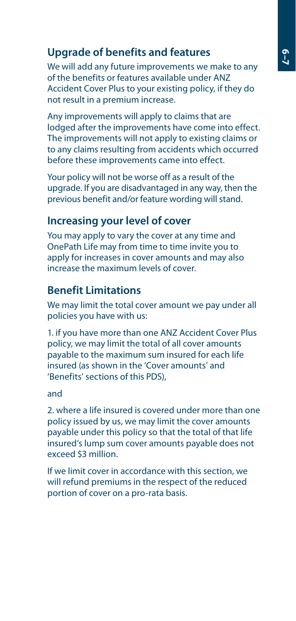## **Upgrade of benefits and features**

We will add any future improvements we make to any of the benefits or features available under ANZ Accident Cover Plus to your existing policy, if they do not result in a premium increase.

Any improvements will apply to claims that are lodged after the improvements have come into effect. The improvements will not apply to existing claims or to any claims resulting from accidents which occurred before these improvements came into effect.

Your policy will not be worse off as a result of the upgrade. If you are disadvantaged in any way, then the previous benefit and/or feature wording will stand.

#### **Increasing your level of cover**

You may apply to vary the cover at any time and OnePath Life may from time to time invite you to apply for increases in cover amounts and may also increase the maximum levels of cover.

## **Benefit Limitations**

We may limit the total cover amount we pay under all policies you have with us:

1. if you have more than one ANZ Accident Cover Plus policy, we may limit the total of all cover amounts payable to the maximum sum insured for each life insured (as shown in the 'Cover amounts' and 'Benefits' sections of this PDS),

and

2. where a life insured is covered under more than one policy issued by us, we may limit the cover amounts payable under this policy so that the total of that life insured's lump sum cover amounts payable does not exceed \$3 million.

If we limit cover in accordance with this section, we will refund premiums in the respect of the reduced portion of cover on a pro-rata basis.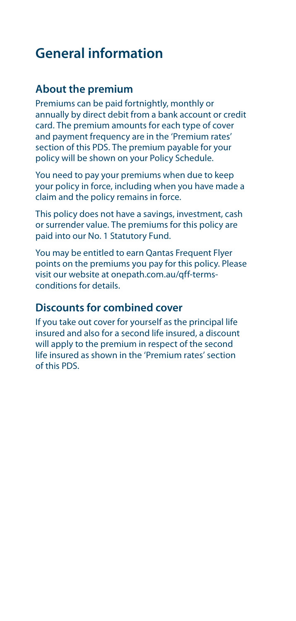# **General information**

#### **About the premium**

Premiums can be paid fortnightly, monthly or annually by direct debit from a bank account or credit card. The premium amounts for each type of cover and payment frequency are in the 'Premium rates' section of this PDS. The premium payable for your policy will be shown on your Policy Schedule.

You need to pay your premiums when due to keep your policy in force, including when you have made a claim and the policy remains in force.

This policy does not have a savings, investment, cash or surrender value. The premiums for this policy are paid into our No. 1 Statutory Fund.

You may be entitled to earn Qantas Frequent Flyer points on the premiums you pay for this policy. Please visit our website at onepath.com.au/qff-termsconditions for details.

#### **Discounts for combined cover**

If you take out cover for yourself as the principal life insured and also for a second life insured, a discount will apply to the premium in respect of the second life insured as shown in the 'Premium rates' section of this PDS.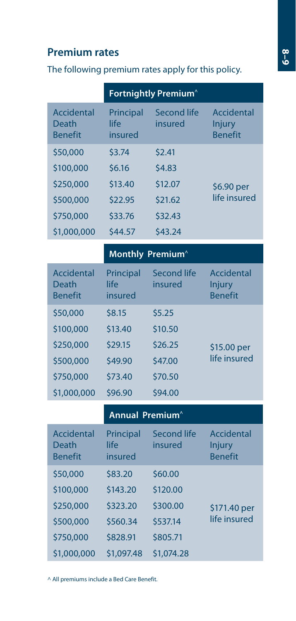## **Premium rates**

The following premium rates apply for this policy.

|                                              |                              | Fortnightly Premium <sup>^</sup> |                                                      |  |  |
|----------------------------------------------|------------------------------|----------------------------------|------------------------------------------------------|--|--|
| Accidental<br>Death<br><b>Benefit</b>        | Principal<br>life<br>insured | <b>Second life</b><br>insured    | Accidental<br><b>Injury</b><br><b>Benefit</b>        |  |  |
| \$50,000                                     | \$3.74                       | \$2.41                           |                                                      |  |  |
| \$100,000                                    | \$6.16                       | \$4.83                           |                                                      |  |  |
| \$250,000                                    | \$13.40                      | \$12.07                          | \$6.90 per                                           |  |  |
| \$500,000                                    | \$22.95                      | \$21.62                          | life insured                                         |  |  |
| \$750,000                                    | \$33.76                      | \$32.43                          |                                                      |  |  |
| \$1,000,000                                  | \$44.57                      | \$43.24                          |                                                      |  |  |
| Monthly Premium <sup>^</sup>                 |                              |                                  |                                                      |  |  |
| <b>Accidental</b><br>Death<br><b>Benefit</b> | Principal<br>life<br>insured | <b>Second life</b><br>insured    | <b>Accidental</b><br><b>Injury</b><br><b>Benefit</b> |  |  |
| \$50,000                                     | \$8.15                       | \$5.25                           |                                                      |  |  |
| \$100,000                                    | \$13.40                      | \$10.50                          |                                                      |  |  |
| \$250,000                                    | \$29.15                      | \$26.25                          | \$15.00 per                                          |  |  |
| \$500,000                                    | \$49.90                      | \$47.00                          | life insured                                         |  |  |
| \$750,000                                    | \$73.40                      | \$70.50                          |                                                      |  |  |
| \$1,000,000                                  | \$96.90                      | \$94.00                          |                                                      |  |  |
|                                              | Annual Premium <sup>^</sup>  |                                  |                                                      |  |  |
| <b>Accidental</b><br>Death<br><b>Benefit</b> | Principal<br>life<br>insured | Second life<br>insured           | <b>Accidental</b><br><b>Injury</b><br><b>Benefit</b> |  |  |
| \$50,000                                     | \$83.20                      | \$60.00                          |                                                      |  |  |
| \$100,000                                    | \$143.20                     | \$120.00                         |                                                      |  |  |
| \$250,000                                    | \$323.20                     | \$300.00                         | \$171.40 per                                         |  |  |
| \$500,000                                    | \$560.34                     | \$537.14                         | life insured                                         |  |  |
| \$750,000                                    | \$828.91                     | \$805.71                         |                                                      |  |  |
| \$1,000,000                                  | \$1,097.48                   | \$1,074.28                       |                                                      |  |  |

^ All premiums include a Bed Care Benefit.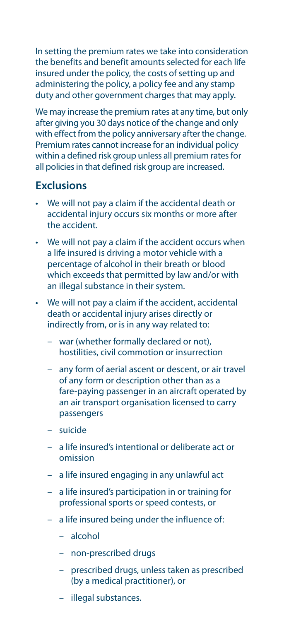In setting the premium rates we take into consideration the benefits and benefit amounts selected for each life insured under the policy, the costs of setting up and administering the policy, a policy fee and any stamp duty and other government charges that may apply.

We may increase the premium rates at any time, but only after giving you 30 days notice of the change and only with effect from the policy anniversary after the change. Premium rates cannot increase for an individual policy within a defined risk group unless all premium rates for all policies in that defined risk group are increased.

#### **Exclusions**

- We will not pay a claim if the accidental death or accidental injury occurs six months or more after the accident.
- We will not pay a claim if the accident occurs when a life insured is driving a motor vehicle with a percentage of alcohol in their breath or blood which exceeds that permitted by law and/or with an illegal substance in their system.
- • We will not pay a claim if the accident, accidental death or accidental injury arises directly or indirectly from, or is in any way related to:
	- war (whether formally declared or not). hostilities, civil commotion or insurrection
	- any form of aerial ascent or descent, or air travel of any form or description other than as a fare-paying passenger in an aircraft operated by an air transport organisation licensed to carry passengers
	- suicide
	- a life insured's intentional or deliberate act or omission
	- a life insured engaging in any unlawful act
	- a life insured's participation in or training for professional sports or speed contests, or
	- a life insured being under the influence of:
		- alcohol
		- non-prescribed drugs
		- prescribed drugs, unless taken as prescribed (by a medical practitioner), or
		- illegal substances.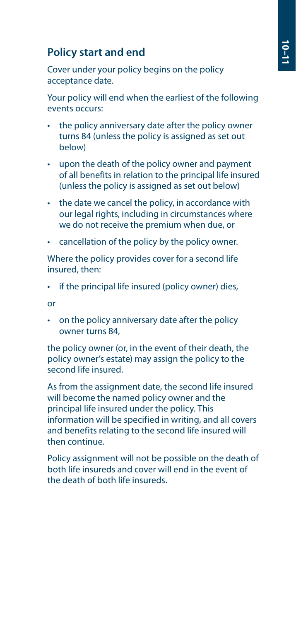## **Policy start and end**

Cover under your policy begins on the policy acceptance date.

Your policy will end when the earliest of the following events occurs:

- the policy anniversary date after the policy owner turns 84 (unless the policy is assigned as set out below)
- • upon the death of the policy owner and payment of all benefits in relation to the principal life insured (unless the policy is assigned as set out below)
- the date we cancel the policy, in accordance with our legal rights, including in circumstances where we do not receive the premium when due, or
- • cancellation of the policy by the policy owner.

Where the policy provides cover for a second life insured, then:

• if the principal life insured (policy owner) dies,

or

• on the policy anniversary date after the policy owner turns 84,

the policy owner (or, in the event of their death, the policy owner's estate) may assign the policy to the second life insured.

As from the assignment date, the second life insured will become the named policy owner and the principal life insured under the policy. This information will be specified in writing, and all covers and benefits relating to the second life insured will then continue.

Policy assignment will not be possible on the death of both life insureds and cover will end in the event of the death of both life insureds.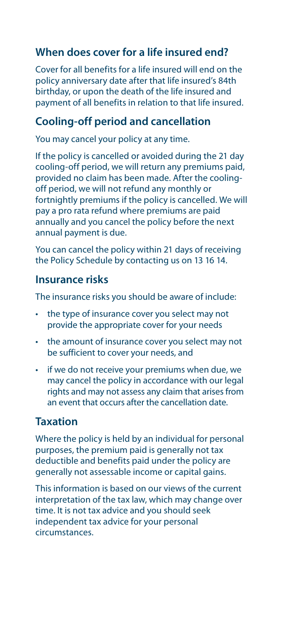## **When does cover for a life insured end?**

Cover for all benefits for a life insured will end on the policy anniversary date after that life insured's 84th birthday, or upon the death of the life insured and payment of all benefits in relation to that life insured.

## **Cooling-off period and cancellation**

You may cancel your policy at any time.

If the policy is cancelled or avoided during the 21 day cooling-off period, we will return any premiums paid, provided no claim has been made. After the coolingoff period, we will not refund any monthly or fortnightly premiums if the policy is cancelled. We will pay a pro rata refund where premiums are paid annually and you cancel the policy before the next annual payment is due.

You can cancel the policy within 21 days of receiving the Policy Schedule by contacting us on 13 16 14.

#### **Insurance risks**

The insurance risks you should be aware of include:

- the type of insurance cover you select may not provide the appropriate cover for your needs
- the amount of insurance cover you select may not be sufficient to cover your needs, and
- • if we do not receive your premiums when due, we may cancel the policy in accordance with our legal rights and may not assess any claim that arises from an event that occurs after the cancellation date.

## **Taxation**

Where the policy is held by an individual for personal purposes, the premium paid is generally not tax deductible and benefits paid under the policy are generally not assessable income or capital gains.

This information is based on our views of the current interpretation of the tax law, which may change over time. It is not tax advice and you should seek independent tax advice for your personal circumstances.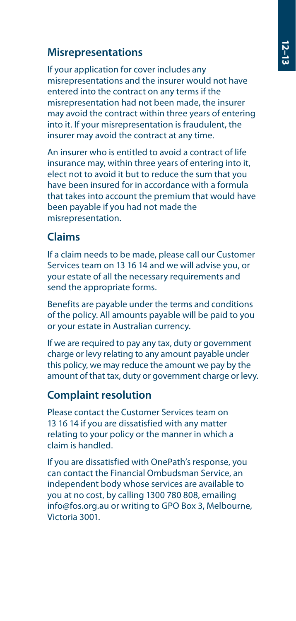## **Misrepresentations**

If your application for cover includes any misrepresentations and the insurer would not have entered into the contract on any terms if the misrepresentation had not been made, the insurer may avoid the contract within three years of entering into it. If your misrepresentation is fraudulent, the insurer may avoid the contract at any time.

An insurer who is entitled to avoid a contract of life insurance may, within three years of entering into it, elect not to avoid it but to reduce the sum that you have been insured for in accordance with a formula that takes into account the premium that would have been payable if you had not made the misrepresentation.

## **Claims**

If a claim needs to be made, please call our Customer Services team on 13 16 14 and we will advise you, or your estate of all the necessary requirements and send the appropriate forms.

Benefits are payable under the terms and conditions of the policy. All amounts payable will be paid to you or your estate in Australian currency.

If we are required to pay any tax, duty or government charge or levy relating to any amount payable under this policy, we may reduce the amount we pay by the amount of that tax, duty or government charge or levy.

## **Complaint resolution**

Please contact the Customer Services team on 13 16 14 if you are dissatisfied with any matter relating to your policy or the manner in which a claim is handled.

If you are dissatisfied with OnePath's response, you can contact the Financial Ombudsman Service, an independent body whose services are available to you at no cost, by calling 1300 780 808, emailing info@fos.org.au or writing to GPO Box 3, Melbourne, Victoria 3001.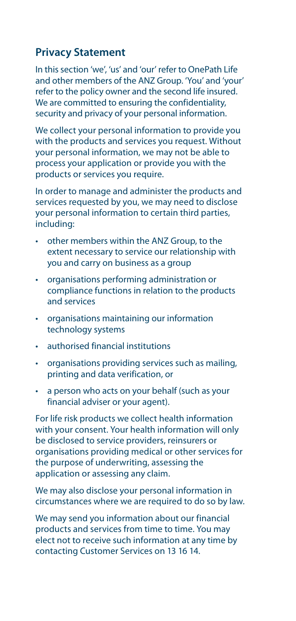#### **Privacy Statement**

In this section 'we', 'us' and 'our' refer to OnePath Life and other members of the ANZ Group. 'You' and 'your' refer to the policy owner and the second life insured. We are committed to ensuring the confidentiality, security and privacy of your personal information.

We collect your personal information to provide you with the products and services you request. Without your personal information, we may not be able to process your application or provide you with the products or services you require.

In order to manage and administer the products and services requested by you, we may need to disclose your personal information to certain third parties, including:

- other members within the ANZ Group, to the extent necessary to service our relationship with you and carry on business as a group
- • organisations performing administration or compliance functions in relation to the products and services
- • organisations maintaining our information technology systems
- authorised financial institutions
- • organisations providing services such as mailing, printing and data verification, or
- a person who acts on your behalf (such as your financial adviser or your agent).

For life risk products we collect health information with your consent. Your health information will only be disclosed to service providers, reinsurers or organisations providing medical or other services for the purpose of underwriting, assessing the application or assessing any claim.

We may also disclose your personal information in circumstances where we are required to do so by law.

We may send you information about our financial products and services from time to time. You may elect not to receive such information at any time by contacting Customer Services on 13 16 14.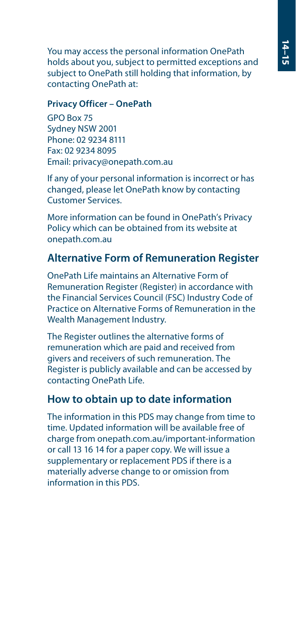You may access the personal information OnePath holds about you, subject to permitted exceptions and subject to OnePath still holding that information, by contacting OnePath at:

#### **Privacy Officer – OnePath**

GPO Box 75 Sydney NSW 2001 Phone: 02 9234 8111 Fax: 02 9234 8095 Email: privacy@onepath.com.au

If any of your personal information is incorrect or has changed, please let OnePath know by contacting Customer Services.

More information can be found in OnePath's Privacy Policy which can be obtained from its website at onepath.com.au

## **Alternative Form of Remuneration Register**

OnePath Life maintains an Alternative Form of Remuneration Register (Register) in accordance with the Financial Services Council (FSC) Industry Code of Practice on Alternative Forms of Remuneration in the Wealth Management Industry.

The Register outlines the alternative forms of remuneration which are paid and received from givers and receivers of such remuneration. The Register is publicly available and can be accessed by contacting OnePath Life.

#### **How to obtain up to date information**

The information in this PDS may change from time to time. Updated information will be available free of charge from onepath.com.au/important-information or call 13 16 14 for a paper copy. We will issue a supplementary or replacement PDS if there is a materially adverse change to or omission from information in this PDS.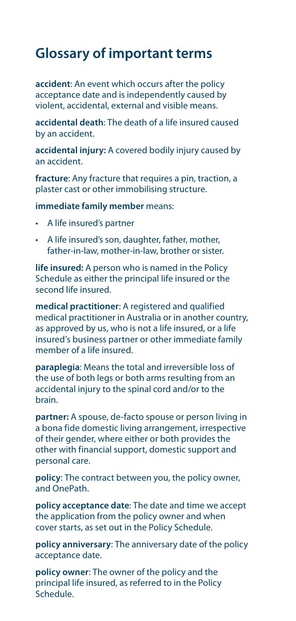# **Glossary of important terms**

**accident**: An event which occurs after the policy acceptance date and is independently caused by violent, accidental, external and visible means.

**accidental death**: The death of a life insured caused by an accident.

**accidental injury:** A covered bodily injury caused by an accident.

**fracture**: Any fracture that requires a pin, traction, a plaster cast or other immobilising structure.

**immediate family member** means:

- A life insured's partner
- • A life insured's son, daughter, father, mother, father-in-law, mother-in-law, brother or sister.

**life insured:** A person who is named in the Policy Schedule as either the principal life insured or the second life insured.

**medical practitioner**: A registered and qualified medical practitioner in Australia or in another country, as approved by us, who is not a life insured, or a life insured's business partner or other immediate family member of a life insured.

**paraplegia**: Means the total and irreversible loss of the use of both legs or both arms resulting from an accidental injury to the spinal cord and/or to the brain.

**partner:** A spouse, de-facto spouse or person living in a bona fide domestic living arrangement, irrespective of their gender, where either or both provides the other with financial support, domestic support and personal care.

**policy**: The contract between you, the policy owner, and OnePath.

**policy acceptance date**: The date and time we accept the application from the policy owner and when cover starts, as set out in the Policy Schedule.

**policy anniversary**: The anniversary date of the policy acceptance date.

**policy owner**: The owner of the policy and the principal life insured, as referred to in the Policy Schedule.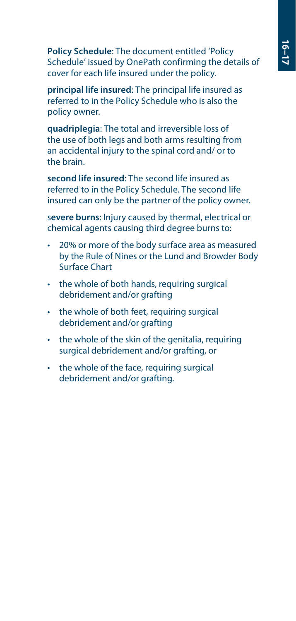**Policy Schedule**: The document entitled 'Policy Schedule' issued by OnePath confirming the details of cover for each life insured under the policy.

**principal life insured**: The principal life insured as referred to in the Policy Schedule who is also the policy owner.

**quadriplegia**: The total and irreversible loss of the use of both legs and both arms resulting from an accidental injury to the spinal cord and/ or to the brain.

**second life insured**: The second life insured as referred to in the Policy Schedule. The second life insured can only be the partner of the policy owner.

s**evere burns**: Injury caused by thermal, electrical or chemical agents causing third degree burns to:

- • 20% or more of the body surface area as measured by the Rule of Nines or the Lund and Browder Body Surface Chart
- the whole of both hands, requiring surgical debridement and/or grafting
- the whole of both feet, requiring surgical debridement and/or grafting
- the whole of the skin of the genitalia, requiring surgical debridement and/or grafting, or
- the whole of the face, requiring surgical debridement and/or grafting.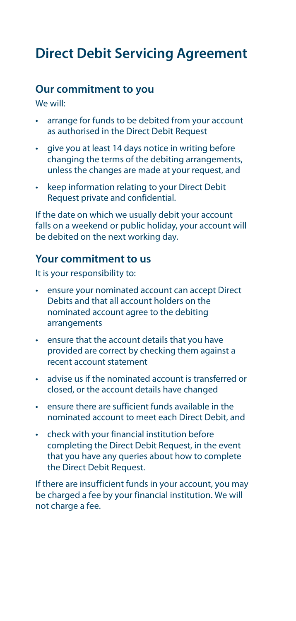# **Direct Debit Servicing Agreement**

#### **Our commitment to you**

We will:

- • arrange for funds to be debited from your account as authorised in the Direct Debit Request
- give you at least 14 days notice in writing before changing the terms of the debiting arrangements, unless the changes are made at your request, and
- • keep information relating to your Direct Debit Request private and confidential.

If the date on which we usually debit your account falls on a weekend or public holiday, your account will be debited on the next working day.

#### **Your commitment to us**

It is your responsibility to:

- ensure your nominated account can accept Direct Debits and that all account holders on the nominated account agree to the debiting arrangements
- • ensure that the account details that you have provided are correct by checking them against a recent account statement
- • advise us if the nominated account is transferred or closed, or the account details have changed
- ensure there are sufficient funds available in the nominated account to meet each Direct Debit, and
- • check with your financial institution before completing the Direct Debit Request, in the event that you have any queries about how to complete the Direct Debit Request.

If there are insufficient funds in your account, you may be charged a fee by your financial institution. We will not charge a fee.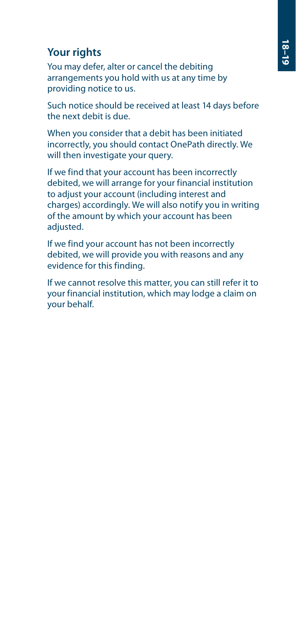## **Your rights**

You may defer, alter or cancel the debiting arrangements you hold with us at any time by providing notice to us.

Such notice should be received at least 14 days before the next debit is due.

When you consider that a debit has been initiated incorrectly, you should contact OnePath directly. We will then investigate your query.

If we find that your account has been incorrectly debited, we will arrange for your financial institution to adjust your account (including interest and charges) accordingly. We will also notify you in writing of the amount by which your account has been adjusted.

If we find your account has not been incorrectly debited, we will provide you with reasons and any evidence for this finding.

If we cannot resolve this matter, you can still refer it to your financial institution, which may lodge a claim on your behalf.